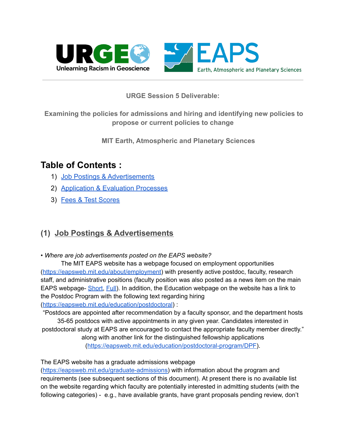



## **URGE Session 5 Deliverable:**

**Examining the policies for admissions and hiring and identifying new policies to propose or current policies to change**

**MIT Earth, Atmospheric and Planetary Sciences**

# **Table of Contents :**

- 1) [Job Postings & Advertisements](#page-0-0)
- 2) [Application & Evaluation Processes](#page-3-0)
- 3) [Fees & Test Scores](#page-4-0)

## <span id="page-0-0"></span>**(1) Job Postings & Advertisements**

*• Where are job advertisements posted on the EAPS website?*

The MIT EAPS website has a webpage focused on employment opportunities (<https://eapsweb.mit.edu/about/employment>) with presently active postdoc, faculty, research staff, and administrative positions (faculty position was also posted as a news item on the main EAPS webpage- [Short,](https://eapsweb.mit.edu/eaps-hiring-tenure-track-position-planetary-science) [Full\)](https://academicjobsonline.org/ajo/jobs/16642). In addition, the Education webpage on the website has a link to the Postdoc Program with the following text regarding hiring (<https://eapsweb.mit.edu/education/postdoctoral>) :

"Postdocs are appointed after recommendation by a faculty sponsor, and the department hosts 35-65 postdocs with active appointments in any given year. Candidates interested in postdoctoral study at EAPS are encouraged to contact the appropriate faculty member directly." along with another link for the distinguished fellowship applications

(<https://eapsweb.mit.edu/education/postdoctoral-program/DPF>).

The EAPS website has a graduate admissions webpage

([https://eapsweb.mit.edu/graduate-admissions\)](https://eapsweb.mit.edu/graduate-admissions) with information about the program and requirements (see subsequent sections of this document). At present there is no available list on the website regarding which faculty are potentially interested in admitting students (with the following categories) - e.g., have available grants, have grant proposals pending review, don't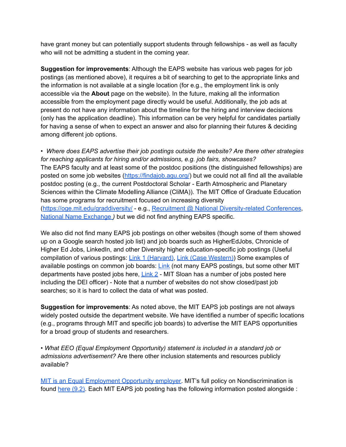have grant money but can potentially support students through fellowships - as well as faculty who will not be admitting a student in the coming year.

**Suggestion for improvements**: Although the EAPS website has various web pages for job postings (as mentioned above), it requires a bit of searching to get to the appropriate links and the information is not available at a single location (for e.g., the employment link is only accessible via the **About** page on the website). In the future, making all the information accessible from the employment page directly would be useful. Additionally, the job ads at present do not have any information about the timeline for the hiring and interview decisions (only has the application deadline). This information can be very helpful for candidates partially for having a sense of when to expect an answer and also for planning their futures & deciding among different job options.

• *Where does EAPS advertise their job postings outside the website? Are there other strategies for reaching applicants for hiring and/or admissions, e.g. job fairs, showcases?* The EAPS faculty and at least some of the postdoc positions (the distinguished fellowships) are posted on some job websites [\(https://findajob.agu.org/](https://findajob.agu.org/)) but we could not all find all the available postdoc posting (e.g., the current Postdoctoral Scholar - Earth Atmospheric and Planetary Sciences within the Climate Modelling Alliance (CliMA)). The MIT Office of Graduate Education has some programs for recruitment focused on increasing diversity (<https://oge.mit.edu/graddiversity/> - e.g., Recruitment @ National [Diversity-related](https://oge.mit.edu/graddiversity/recruitment/) Conferences*,* National Name [Exchange](https://webapps.grad.uw.edu/nne/general/index.html) *)* but we did not find anything EAPS specific.

We also did not find many EAPS job postings on other websites (though some of them showed up on a Google search hosted job list) and job boards such as HigherEdJobs, Chronicle of Higher Ed Jobs, LinkedIn, and other Diversity higher education-specific job postings (Useful compilation of various postings: Link 1 [\(Harvard\)](https://hr.fas.harvard.edu/files/fas-hr/files/diversity_recruitment_resources.pdf), Link (Case [Western\)](https://case.edu/diversity/faculty-and-institutional-diversity/faculty-search-process/diversity-recruitment-websites)) Some examples of available postings on common job boards: [Link](https://www.higheredjobs.com/institution/search.cfm?University=Massachusetts+Institute+of+Technology&StartRow=-1&SortBy=4&NumJobs=25&filterby=Massachusetts+Institute+of+Technology&filtercat=170&CatType=3)) (not many EAPS postings, but some other MIT departments have posted jobs here, [Link](https://diversejobs.net/search/?search=mit%20EAPS) 2 - MIT Sloan has a number of jobs posted here including the DEI officer) - Note that a number of websites do not show closed/past job searches; so it is hard to collect the data of what was posted.

**Suggestion for improvements**: As noted above, the MIT EAPS job postings are not always widely posted outside the department website. We have identified a number of specific locations (e.g., programs through MIT and specific job boards) to advertise the MIT EAPS opportunities for a broad group of students and researchers.

• *What EEO (Equal Employment Opportunity) statement is included in a standard job or admissions advertisement?* Are there other inclusion statements and resources publicly available?

MIT is an Equal [Employment](https://hr.mit.edu/careers) Opportunity employer. MIT's full policy on Nondiscrimination is found here [\(9.2\)](https://policies.mit.edu/policies-procedures/90-relations-and-responsibilities-within-mit-community/92-nondiscrimination). Each MIT EAPS job posting has the following information posted alongside :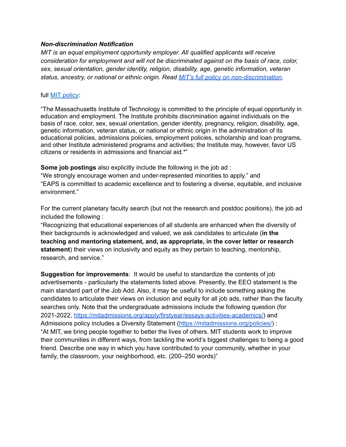#### *Non-discrimination Notification*

*MIT is an equal employment opportunity employer. All qualified applicants will receive consideration for employment and will not be discriminated against on the basis of race, color, sex, sexual orientation, gender identity, religion, disability, age, genetic information, veteran status, ancestry, or national or ethnic origin. Read MIT's full policy on [non-discrimination.](https://policies.mit.edu/policies-procedures/90-relations-and-responsibilities-within-mit-community/92-nondiscrimination)*

#### full **MIT** [policy](https://policies.mit.edu/policies-procedures/90-relations-and-responsibilities-within-mit-community/92-nondiscrimination):

"The Massachusetts Institute of Technology is committed to the principle of equal opportunity in education and employment. The Institute prohibits discrimination against individuals on the basis of race, color, sex, sexual orientation, gender identity, pregnancy, religion, disability, age, genetic information, veteran status, or national or ethnic origin in the administration of its educational policies, admissions policies, employment policies, scholarship and loan programs, and other Institute administered programs and activities; the Institute may, however, favor US citizens or residents in admissions and financial aid.\*"

**Some job postings** also explicitly include the following in the job ad : "We strongly encourage women and under-represented minorities to apply." and "EAPS is committed to academic excellence and to fostering a diverse, equitable, and inclusive environment."

For the current planetary faculty search (but not the research and postdoc positions), the job ad included the following :

"Recognizing that educational experiences of all students are enhanced when the diversity of their backgrounds is acknowledged and valued, we ask candidates to articulate (**in the teaching and mentoring statement, and, as appropriate, in the cover letter or research statement**) their views on inclusivity and equity as they pertain to teaching, mentorship, research, and service."

**Suggestion for improvements**: It would be useful to standardize the contents of job advertisements - particularly the statements listed above. Presently, the EEO statement is the main standard part of the Job Add. Also, it may be useful to include something asking the candidates to articulate their views on inclusion and equity for all job ads, rather than the faculty searches only. Note that the undergraduate admissions include the following question (for 2021-2022, <https://mitadmissions.org/apply/firstyear/essays-activities-academics/>) and Admissions policy includes a Diversity Statement (<https://mitadmissions.org/policies/>) : "At MIT, we bring people together to better the lives of others. MIT students work to improve their communities in different ways, from tackling the world's biggest challenges to being a good friend. Describe one way in which you have contributed to your community, whether in your family, the classroom, your neighborhood, etc. (200–250 words)"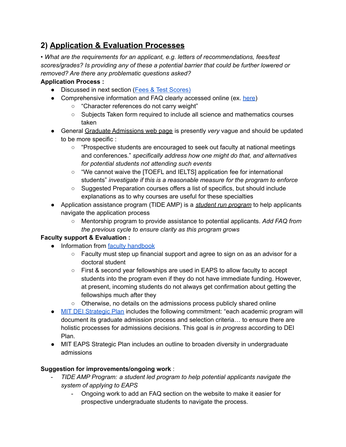# <span id="page-3-0"></span>**2) Application & Evaluation Processes**

*• What are the requirements for an applicant, e.g. letters of recommendations, fees/test scores/grades? Is providing any of these a potential barrier that could be further lowered or removed? Are there any problematic questions asked?*

## **Application Process :**

- Discussed in next section (Fees & Test [Scores\)](#page-4-0)
- Comprehensive information and FAQ clearly accessed online (ex. [here\)](https://eapsweb.mit.edu/graduate-admissions/faq)
	- "Character references do not carry weight"
	- Subjects Taken form required to include all science and mathematics courses taken
- General Graduate [Admissions](https://eapsweb.mit.edu/graduate-admissions) web page is presently *very* vague and should be updated to be more specific :
	- "Prospective students are encouraged to seek out faculty at national meetings and conferences." *specifically address how one might do that, and alternatives for potential students not attending such events*
	- "We cannot waive the [TOEFL and IELTS] application fee for international students" *investigate if this is a reasonable measure for the program to enforce*
	- Suggested Preparation courses offers a list of specifics, but should include explanations as to why courses are useful for these specialties
- Application assistance program (TIDE AMP) is a *student run program* to help applicants navigate the application process
	- Mentorship program to provide assistance to potential applicants. *Add FAQ from the previous cycle to ensure clarity as this program grows*

## **Faculty support & Evaluation :**

- Information from faculty [handbook](https://eapsweb.mit.edu/sites/default/files/Faculty%20Handbook_v4-2%20_2016.pdf)
	- Faculty must step up financial support and agree to sign on as an advisor for a doctoral student
	- First & second year fellowships are used in EAPS to allow faculty to accept students into the program even if they do not have immediate funding. However, at present, incoming students do not always get confirmation about getting the fellowships much after they
	- Otherwise, no details on the admissions process publicly shared online
- MIT DEI [Strategic](https://deiactionplan.mit.edu/sites/default/files/media/documents/2021-03/dei_strategicactionplan_draft_210329e.pdf) Plan includes the following commitment: "each academic program will document its graduate admission process and selection criteria… to ensure there are holistic processes for admissions decisions. This goal is *in progress* according to DEI Plan.
- MIT EAPS Strategic Plan includes an outline to broaden diversity in undergraduate admissions

## **Suggestion for improvements/ongoing work** :

- *TIDE AMP Program: a student led program to help potential applicants navigate the system of applying to EAPS*
	- Ongoing work to add an FAQ section on the website to make it easier for prospective undergraduate students to navigate the process.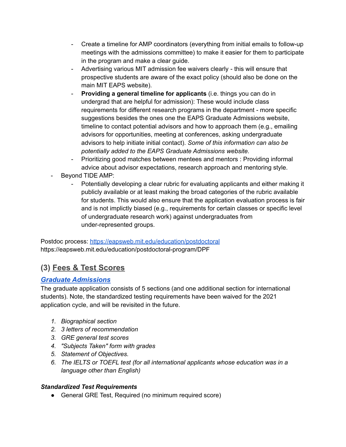- Create a timeline for AMP coordinators (everything from initial emails to follow-up meetings with the admissions committee) to make it easier for them to participate in the program and make a clear guide.
- Advertising various MIT admission fee waivers clearly this will ensure that prospective students are aware of the exact policy (should also be done on the main MIT EAPS website).
- **Providing a general timeline for applicants** (i.e. things you can do in undergrad that are helpful for admission): These would include class requirements for different research programs in the department - more specific suggestions besides the ones one the EAPS Graduate Admissions website, timeline to contact potential advisors and how to approach them (e.g., emailing advisors for opportunities, meeting at conferences, asking undergraduate advisors to help initiate initial contact). *Some of this information can also be potentially added to the EAPS Graduate Admissions website.*
- Prioritizing good matches between mentees and mentors : Providing informal advice about advisor expectations, research approach and mentoring style.
- Beyond TIDE AMP:
	- Potentially developing a clear rubric for evaluating applicants and either making it publicly available or at least making the broad categories of the rubric available for students. This would also ensure that the application evaluation process is fair and is not implictly biased (e.g., requirements for certain classes or specific level of undergraduate research work) against undergraduates from under-represented groups.

Postdoc process: <https://eapsweb.mit.edu/education/postdoctoral> https://eapsweb.mit.edu/education/postdoctoral-program/DPF

## <span id="page-4-0"></span>**(3) Fees & Test Scores**

## *[Graduate Admissions](https://eapsweb.mit.edu/graduate-admissions)*

The graduate application consists of 5 sections (and one additional section for international students). Note, the standardized testing requirements have been waived for the 2021 application cycle, and will be revisited in the future.

- *1. Biographical section*
- *2. 3 letters of recommendation*
- *3. GRE general test scores*
- *4. "Subjects Taken" form with grades*
- *5. Statement of Objectives.*
- *6. The IELTS or TOEFL test (for all international applicants whose education was in a language other than English)*

## *Standardized Test Requirements*

● General GRE Test, Required (no minimum required score)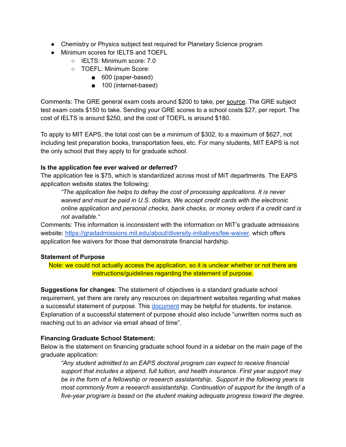- Chemistry or Physics subject test required for Planetary Science program
- Minimum scores for IELTS and TOEFL
	- IELTS: Minimum score: 7.0
	- TOEFL: Minimum Score:
		- 600 (paper-based)
		- 100 (internet-based)

Comments: The GRE general exam costs around \$200 to take, per [source](https://www.ets.org/gre/revised_general/about/fees/). The GRE subject test exam costs \$150 to take. Sending your GRE scores to a school costs \$27, per report. The cost of IELTS is around \$250, and the cost of TOEFL is around \$180.

To apply to MIT EAPS, the total cost can be a minimum of \$302, to a maximum of \$627, not including test preparation books, transportation fees, etc. For many students, MIT EAPS is not the only school that they apply to for graduate school.

### **Is the application fee ever waived or deferred?**

The application fee is \$75, which is standardized across most of MIT departments. The EAPS application website states the following:

*"The application fee helps to defray the cost of processing applications. It is never waived and must be paid in U.S. dollars. We accept credit cards with the electronic online application and personal checks, bank checks, or money orders if a credit card is not available."*

Comments: This information is inconsistent with the information on MIT's graduate admissions website: <https://gradadmissions.mit.edu/about/diversity-initiatives/fee-waiver>, which offers application fee waivers for those that demonstrate financial hardship.

#### **Statement of Purpose**

Note: we could not actually access the application, so it is unclear whether or not there are instructions/guidelines regarding the statement of purpose.

**Suggestions for changes**: The statement of objectives is a standard graduate school requirement, yet there are rarely any resources on department websites regarding what makes a successful statement of purpose. This [document](https://web.mit.edu/msrp/myMSRP/docs/Statement%20of%20purpose%20guidelines.pdf) may be helpful for students, for instance. Explanation of a successful statement of purpose should also include "unwritten norms such as reaching out to an advisor via email ahead of time".

### **Financing Graduate School Statement:**

Below is the statement on financing graduate school found in a sidebar on the main page of the graduate application:

*"Any student admitted to an EAPS doctoral program can expect to receive financial support that includes a stipend, full tuition, and health insurance. First year support may be in the form of a fellowship or research assistantship. Support in the following years is most commonly from a research assistantship. Continuation of support for the length of a five-year program is based on the student making adequate progress toward the degree.*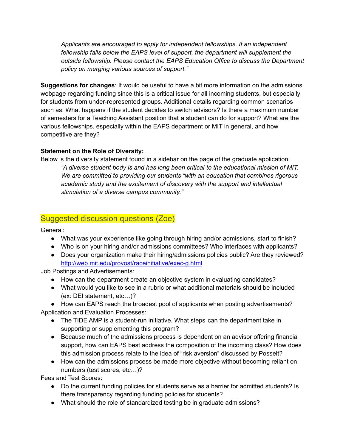*Applicants are encouraged to apply for independent fellowships. If an independent fellowship falls below the EAPS level of support, the department will supplement the outside fellowship. Please contact the EAPS Education Office to discuss the Department policy on merging various sources of support."*

**Suggestions for changes**: It would be useful to have a bit more information on the admissions webpage regarding funding since this is a critical issue for all incoming students, but especially for students from under-represented groups. Additional details regarding common scenarios such as: What happens if the student decides to switch advisors? Is there a maximum number of semesters for a Teaching Assistant position that a student can do for support? What are the various fellowships, especially within the EAPS department or MIT in general, and how competitive are they?

### **Statement on the Role of Diversity:**

Below is the diversity statement found in a sidebar on the page of the graduate application: *"A diverse student body is and has long been critical to the educational mission of MIT. We are committed to providing our students "with an education that combines rigorous academic study and the excitement of discovery with the support and intellectual stimulation of a diverse campus community."*

## Suggested discussion questions (Zoe)

General:

- What was your experience like going through hiring and/or admissions, start to finish?
- Who is on your hiring and/or admissions committees? Who interfaces with applicants?
- Does your organization make their hiring/admissions policies public? Are they reviewed? <http://web.mit.edu/provost/raceinitiative/exec-g.html>

Job Postings and Advertisements:

- How can the department create an objective system in evaluating candidates?
- What would you like to see in a rubric or what additional materials should be included (ex: DEI statement, etc…)?

● How can EAPS reach the broadest pool of applicants when posting advertisements? Application and Evaluation Processes:

- The TIDE AMP is a student-run initiative. What steps can the department take in supporting or supplementing this program?
- Because much of the admissions process is dependent on an advisor offering financial support, how can EAPS best address the composition of the incoming class? How does this admission process relate to the idea of "risk aversion" discussed by Posselt?
- How can the admissions process be made more objective without becoming reliant on numbers (test scores, etc…)?

Fees and Test Scores:

- Do the current funding policies for students serve as a barrier for admitted students? Is there transparency regarding funding policies for students?
- What should the role of standardized testing be in graduate admissions?